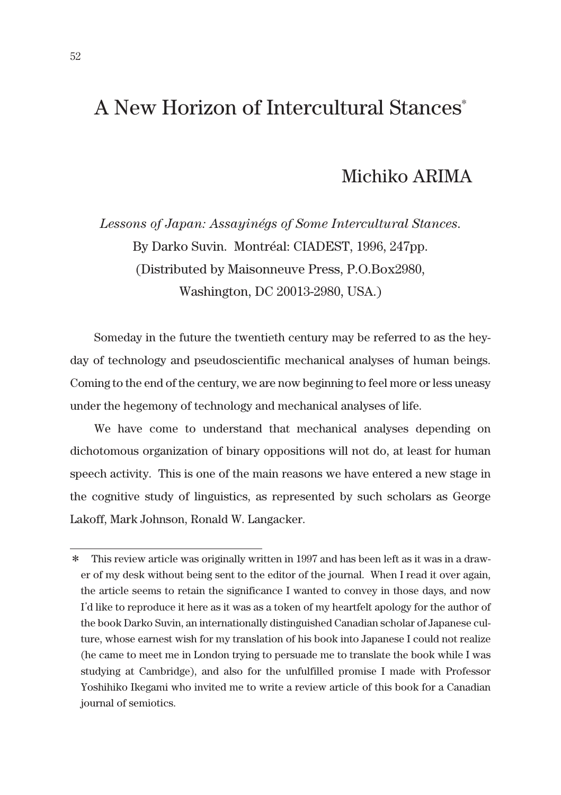## A New Horizon of Intercultural Stances\*

## Michiko ARIMA

*Lessons of Japan: Assayinégs of Some Intercultural Stances*. By Darko Suvin. Montréal: CIADEST, 1996, 247pp. (Distributed by Maisonneuve Press, P.O.Box2980, Washington, DC 20013-2980, USA.)

Someday in the future the twentieth century may be referred to as the heyday of technology and pseudoscientific mechanical analyses of human beings. Coming to the end of the century, we are now beginning to feel more or less uneasy under the hegemony of technology and mechanical analyses of life.

We have come to understand that mechanical analyses depending on dichotomous organization of binary oppositions will not do, at least for human speech activity. This is one of the main reasons we have entered a new stage in the cognitive study of linguistics, as represented by such scholars as George Lakoff, Mark Johnson, Ronald W. Langacker.

<sup>\*</sup> This review article was originally written in 1997 and has been left as it was in a drawer of my desk without being sent to the editor of the journal. When I read it over again, the article seems to retain the significance I wanted to convey in those days, and now I'd like to reproduce it here as it was as a token of my heartfelt apology for the author of the book Darko Suvin, an internationally distinguished Canadian scholar of Japanese culture, whose earnest wish for my translation of his book into Japanese I could not realize (he came to meet me in London trying to persuade me to translate the book while I was studying at Cambridge), and also for the unfulfilled promise I made with Professor Yoshihiko Ikegami who invited me to write a review article of this book for a Canadian journal of semiotics.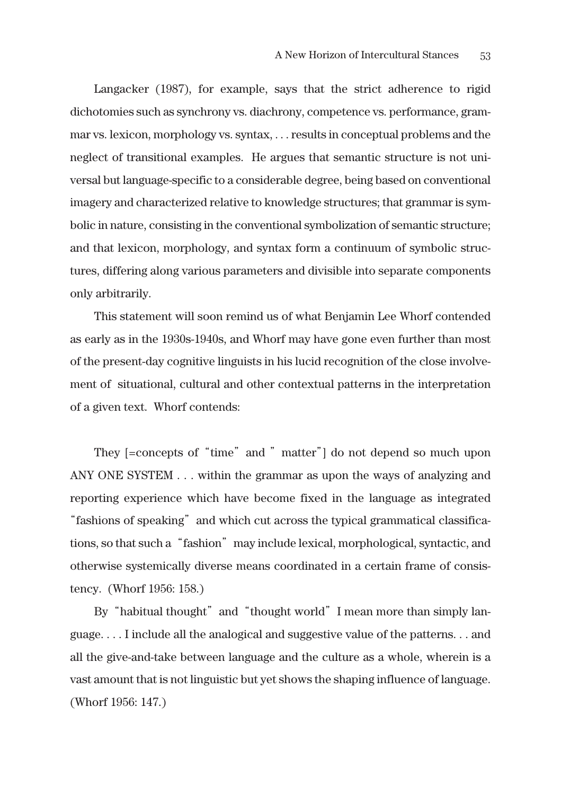Langacker (1987), for example, says that the strict adherence to rigid dichotomies such as synchrony vs. diachrony, competence vs. performance, grammar vs. lexicon, morphology vs. syntax, . . . results in conceptual problems and the neglect of transitional examples. He argues that semantic structure is not universal but language-specific to a considerable degree, being based on conventional imagery and characterized relative to knowledge structures; that grammar is symbolic in nature, consisting in the conventional symbolization of semantic structure; and that lexicon, morphology, and syntax form a continuum of symbolic structures, differing along various parameters and divisible into separate components only arbitrarily.

This statement will soon remind us of what Benjamin Lee Whorf contended as early as in the 1930s-1940s, and Whorf may have gone even further than most of the present-day cognitive linguists in his lucid recognition of the close involvement of situational, cultural and other contextual patterns in the interpretation of a given text. Whorf contends:

They [=concepts of "time" and " matter"] do not depend so much upon ANY ONE SYSTEM . . . within the grammar as upon the ways of analyzing and reporting experience which have become fixed in the language as integrated "fashions of speaking" and which cut across the typical grammatical classifications, so that such a "fashion" may include lexical, morphological, syntactic, and otherwise systemically diverse means coordinated in a certain frame of consistency. (Whorf 1956: 158.)

By "habitual thought" and "thought world" I mean more than simply language. . . . I include all the analogical and suggestive value of the patterns. . . and all the give-and-take between language and the culture as a whole, wherein is a vast amount that is not linguistic but yet shows the shaping influence of language. (Whorf 1956: 147.)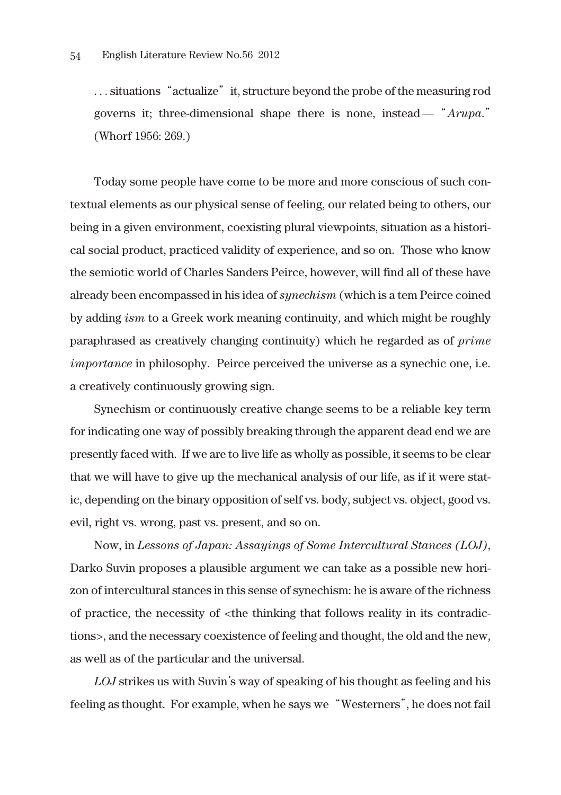... situations "actualize" it, structure beyond the probe of the measuring rod governs it; three-dimensional shape there is none, instead―"*Arupa*." (Whorf 1956: 269.)

Today some people have come to be more and more conscious of such contextual elements as our physical sense of feeling, our related being to others, our being in a given environment, coexisting plural viewpoints, situation as a historical social product, practiced validity of experience, and so on. Those who know the semiotic world of Charles Sanders Peirce, however, will find all of these have already been encompassed in his idea of *synechism* (which is a tem Peirce coined by adding *ism* to a Greek work meaning continuity, and which might be roughly paraphrased as creatively changing continuity) which he regarded as of *prime importance* in philosophy. Peirce perceived the universe as a synechic one, i.e. a creatively continuously growing sign.

Synechism or continuously creative change seems to be a reliable key term for indicating one way of possibly breaking through the apparent dead end we are presently faced with. If we are to live life as wholly as possible, it seems to be clear that we will have to give up the mechanical analysis of our life, as if it were static, depending on the binary opposition of self vs. body, subject vs. object, good vs. evil, right vs. wrong, past vs. present, and so on.

Now, in *Lessons of Japan: Assayings of Some Intercultural Stances (LOJ)*, Darko Suvin proposes a plausible argument we can take as a possible new horizon of intercultural stances in this sense of synechism: he is aware of the richness of practice, the necessity of <the thinking that follows reality in its contradictions>, and the necessary coexistence of feeling and thought, the old and the new, as well as of the particular and the universal.

*LOJ* strikes us with Suvin's way of speaking of his thought as feeling and his feeling as thought. For example, when he says we "Westerners", he does not fail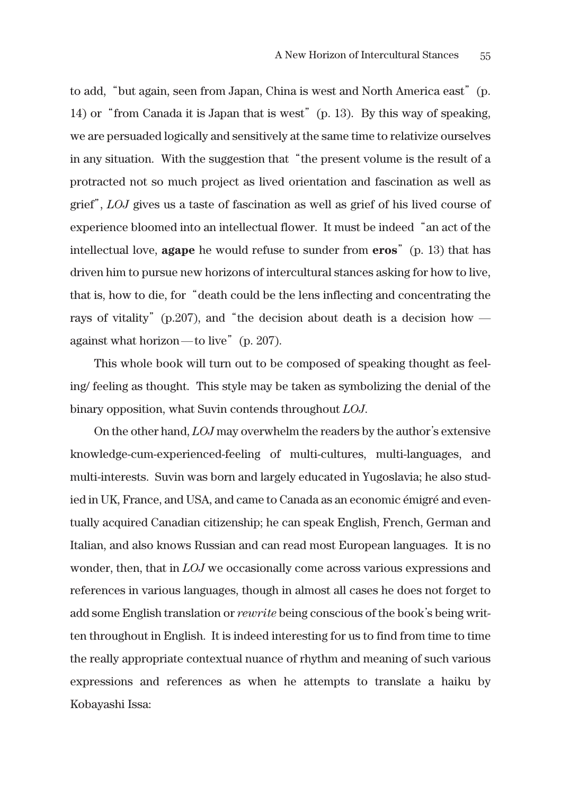to add,"but again, seen from Japan, China is west and North America east"(p. 14) or "from Canada it is Japan that is west" (p. 13). By this way of speaking, we are persuaded logically and sensitively at the same time to relativize ourselves in any situation. With the suggestion that "the present volume is the result of a protracted not so much project as lived orientation and fascination as well as grief", *LOJ* gives us a taste of fascination as well as grief of his lived course of experience bloomed into an intellectual flower. It must be indeed"an act of the intellectual love, **agape** he would refuse to sunder from **eros**"(p. 13) that has driven him to pursue new horizons of intercultural stances asking for how to live, that is, how to die, for"death could be the lens inflecting and concentrating the rays of vitality" (p.207), and "the decision about death is a decision how against what horizon—to live"  $(p. 207)$ .

This whole book will turn out to be composed of speaking thought as feeling/ feeling as thought. This style may be taken as symbolizing the denial of the binary opposition, what Suvin contends throughout *LOJ*.

On the other hand, *LOJ* may overwhelm the readers by the author's extensive knowledge-cum-experienced-feeling of multi-cultures, multi-languages, and multi-interests. Suvin was born and largely educated in Yugoslavia; he also studied in UK, France, and USA, and came to Canada as an economic émigré and eventually acquired Canadian citizenship; he can speak English, French, German and Italian, and also knows Russian and can read most European languages. It is no wonder, then, that in *LOJ* we occasionally come across various expressions and references in various languages, though in almost all cases he does not forget to add some English translation or *rewrite* being conscious of the book's being written throughout in English. It is indeed interesting for us to find from time to time the really appropriate contextual nuance of rhythm and meaning of such various expressions and references as when he attempts to translate a haiku by Kobayashi Issa: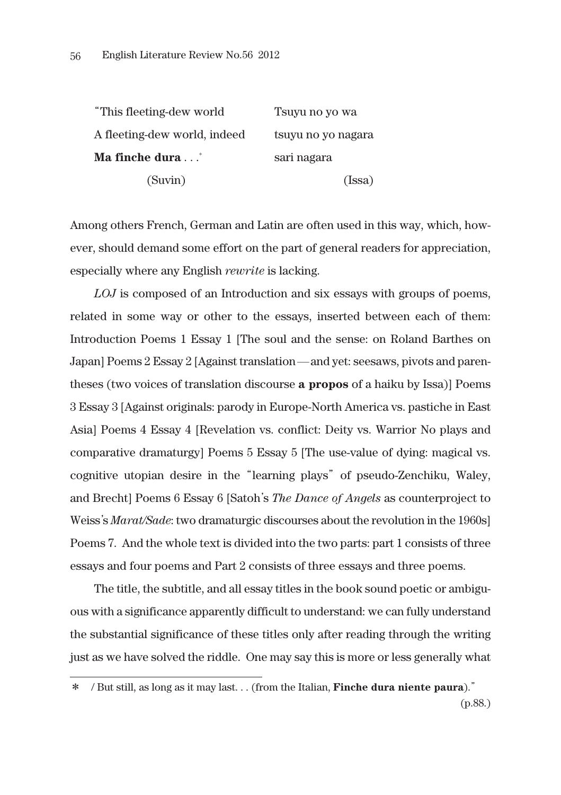| "This fleeting-dew world"    | Tsuyu no yo wa     |  |  |
|------------------------------|--------------------|--|--|
| A fleeting-dew world, indeed | tsuyu no yo nagara |  |  |
| Ma finche dura *             | sari nagara        |  |  |
| (Suvin)                      | (Issa)             |  |  |

Among others French, German and Latin are often used in this way, which, however, should demand some effort on the part of general readers for appreciation, especially where any English *rewrite* is lacking.

*LOJ* is composed of an Introduction and six essays with groups of poems, related in some way or other to the essays, inserted between each of them: Introduction Poems 1 Essay 1 [The soul and the sense: on Roland Barthes on Japan] Poems 2 Essay 2 [Against translation―and yet: seesaws, pivots and parentheses (two voices of translation discourse **a propos** of a haiku by Issa)] Poems 3 Essay 3 [Against originals: parody in Europe-North America vs. pastiche in East Asia] Poems 4 Essay 4 [Revelation vs. conflict: Deity vs. Warrior No plays and comparative dramaturgy] Poems 5 Essay 5 [The use-value of dying: magical vs. cognitive utopian desire in the"learning plays"of pseudo-Zenchiku, Waley, and Brecht] Poems 6 Essay 6 [Satoh's *The Dance of Angels* as counterproject to Weiss's *Marat/Sade*: two dramaturgic discourses about the revolution in the 1960s] Poems 7. And the whole text is divided into the two parts: part 1 consists of three essays and four poems and Part 2 consists of three essays and three poems.

The title, the subtitle, and all essay titles in the book sound poetic or ambiguous with a significance apparently difficult to understand: we can fully understand the substantial significance of these titles only after reading through the writing just as we have solved the riddle. One may say this is more or less generally what

<sup>\*</sup> / But still, as long as it may last. . . (from the Italian, **Finche dura niente paura**)."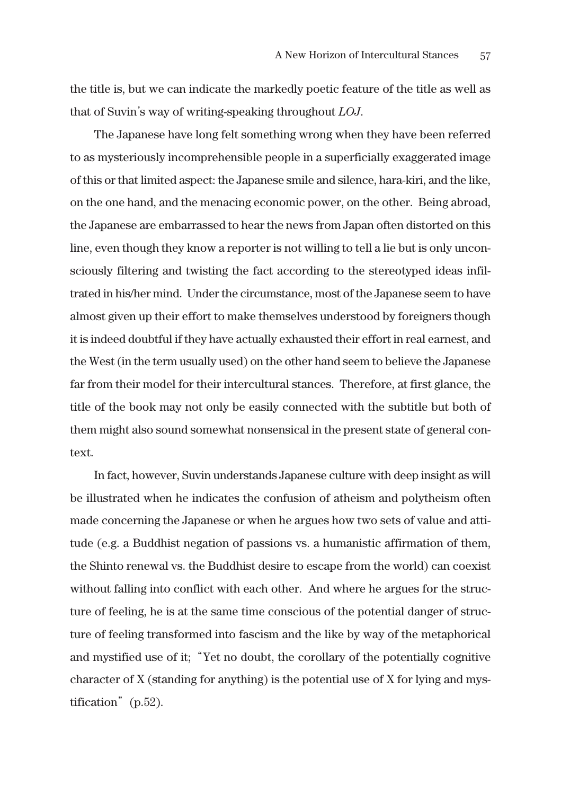the title is, but we can indicate the markedly poetic feature of the title as well as that of Suvin's way of writing-speaking throughout *LOJ*.

The Japanese have long felt something wrong when they have been referred to as mysteriously incomprehensible people in a superficially exaggerated image of this or that limited aspect: the Japanese smile and silence, hara-kiri, and the like, on the one hand, and the menacing economic power, on the other. Being abroad, the Japanese are embarrassed to hear the news from Japan often distorted on this line, even though they know a reporter is not willing to tell a lie but is only unconsciously filtering and twisting the fact according to the stereotyped ideas infiltrated in his/her mind. Under the circumstance, most of the Japanese seem to have almost given up their effort to make themselves understood by foreigners though it is indeed doubtful if they have actually exhausted their effort in real earnest, and the West (in the term usually used) on the other hand seem to believe the Japanese far from their model for their intercultural stances. Therefore, at first glance, the title of the book may not only be easily connected with the subtitle but both of them might also sound somewhat nonsensical in the present state of general context.

In fact, however, Suvin understands Japanese culture with deep insight as will be illustrated when he indicates the confusion of atheism and polytheism often made concerning the Japanese or when he argues how two sets of value and attitude (e.g. a Buddhist negation of passions vs. a humanistic affirmation of them, the Shinto renewal vs. the Buddhist desire to escape from the world) can coexist without falling into conflict with each other. And where he argues for the structure of feeling, he is at the same time conscious of the potential danger of structure of feeling transformed into fascism and the like by way of the metaphorical and mystified use of it;"Yet no doubt, the corollary of the potentially cognitive character of X (standing for anything) is the potential use of X for lying and mystification" (p.52).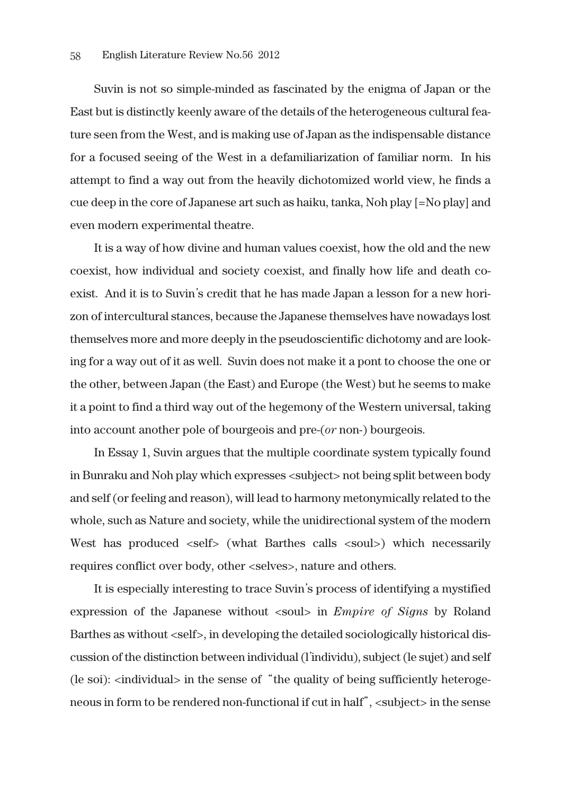Suvin is not so simple-minded as fascinated by the enigma of Japan or the East but is distinctly keenly aware of the details of the heterogeneous cultural feature seen from the West, and is making use of Japan as the indispensable distance for a focused seeing of the West in a defamiliarization of familiar norm. In his attempt to find a way out from the heavily dichotomized world view, he finds a cue deep in the core of Japanese art such as haiku, tanka, Noh play [=No play] and even modern experimental theatre.

It is a way of how divine and human values coexist, how the old and the new coexist, how individual and society coexist, and finally how life and death coexist. And it is to Suvin's credit that he has made Japan a lesson for a new horizon of intercultural stances, because the Japanese themselves have nowadays lost themselves more and more deeply in the pseudoscientific dichotomy and are looking for a way out of it as well. Suvin does not make it a pont to choose the one or the other, between Japan (the East) and Europe (the West) but he seems to make it a point to find a third way out of the hegemony of the Western universal, taking into account another pole of bourgeois and pre-(*or* non-) bourgeois.

In Essay 1, Suvin argues that the multiple coordinate system typically found in Bunraku and Noh play which expresses <subject> not being split between body and self (or feeling and reason), will lead to harmony metonymically related to the whole, such as Nature and society, while the unidirectional system of the modern West has produced <self> (what Barthes calls <soul>) which necessarily requires conflict over body, other <selves>, nature and others.

It is especially interesting to trace Suvin's process of identifying a mystified expression of the Japanese without <soul> in *Empire of Signs* by Roland Barthes as without <self>, in developing the detailed sociologically historical discussion of the distinction between individual (l'individu), subject (le sujet) and self (le soi): <individual> in the sense of "the quality of being sufficiently heterogeneous in form to be rendered non-functional if cut in half", <subject> in the sense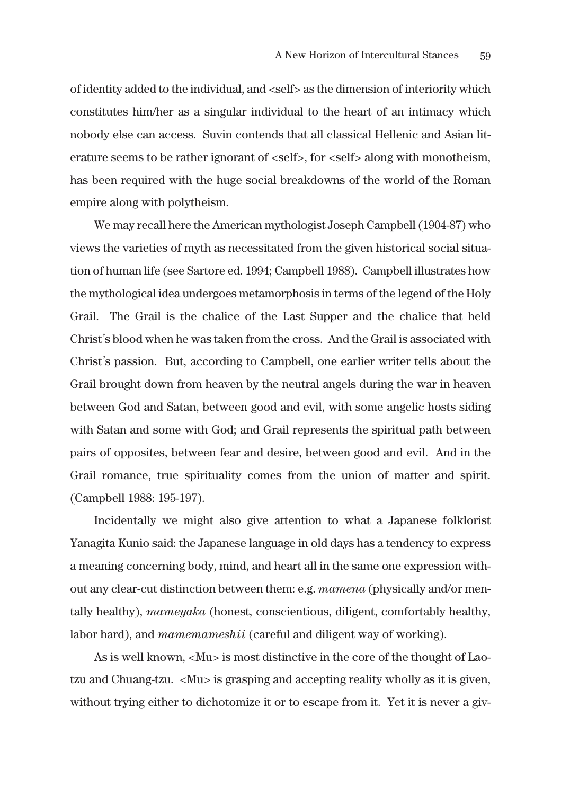of identity added to the individual, and <self> as the dimension of interiority which constitutes him/her as a singular individual to the heart of an intimacy which nobody else can access. Suvin contends that all classical Hellenic and Asian literature seems to be rather ignorant of  $\leq$ self $>$ , for  $\leq$ self $>$  along with monotheism, has been required with the huge social breakdowns of the world of the Roman empire along with polytheism.

We may recall here the American mythologist Joseph Campbell (1904-87) who views the varieties of myth as necessitated from the given historical social situation of human life (see Sartore ed. 1994; Campbell 1988). Campbell illustrates how the mythological idea undergoes metamorphosis in terms of the legend of the Holy Grail. The Grail is the chalice of the Last Supper and the chalice that held Christ's blood when he was taken from the cross. And the Grail is associated with Christ's passion. But, according to Campbell, one earlier writer tells about the Grail brought down from heaven by the neutral angels during the war in heaven between God and Satan, between good and evil, with some angelic hosts siding with Satan and some with God; and Grail represents the spiritual path between pairs of opposites, between fear and desire, between good and evil. And in the Grail romance, true spirituality comes from the union of matter and spirit. (Campbell 1988: 195-197).

Incidentally we might also give attention to what a Japanese folklorist Yanagita Kunio said: the Japanese language in old days has a tendency to express a meaning concerning body, mind, and heart all in the same one expression without any clear-cut distinction between them: e.g. *mamena* (physically and/or mentally healthy), *mameyaka* (honest, conscientious, diligent, comfortably healthy, labor hard), and *mamemameshii* (careful and diligent way of working).

As is well known, <Mu> is most distinctive in the core of the thought of Laotzu and Chuang-tzu. <Mu> is grasping and accepting reality wholly as it is given, without trying either to dichotomize it or to escape from it. Yet it is never a giv-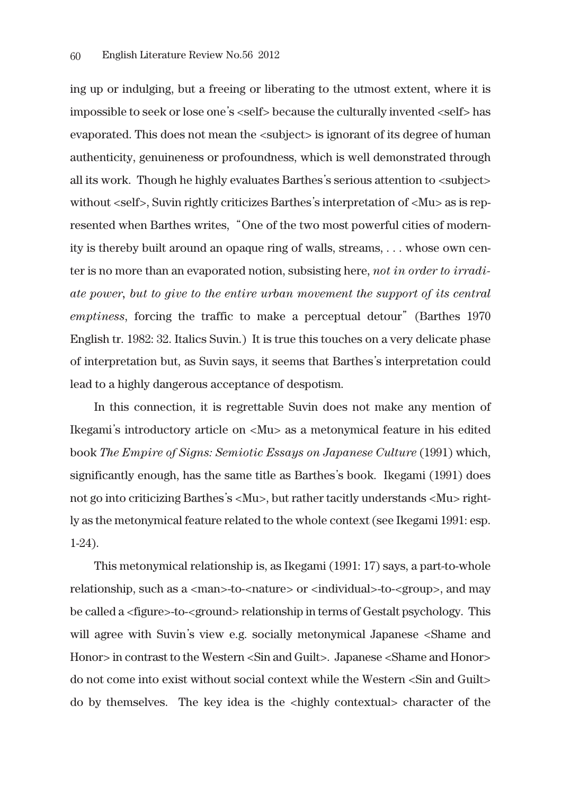ing up or indulging, but a freeing or liberating to the utmost extent, where it is impossible to seek or lose one's <self> because the culturally invented <self> has evaporated. This does not mean the <subject> is ignorant of its degree of human authenticity, genuineness or profoundness, which is well demonstrated through all its work. Though he highly evaluates Barthes's serious attention to <subject> without <self>, Suvin rightly criticizes Barthes's interpretation of <Mu> as is represented when Barthes writes,"One of the two most powerful cities of modernity is thereby built around an opaque ring of walls, streams, . . . whose own center is no more than an evaporated notion, subsisting here, *not in order to irradiate power, but to give to the entire urban movement the support of its central emptiness*, forcing the traffic to make a perceptual detour"(Barthes 1970 English tr. 1982: 32. Italics Suvin.) It is true this touches on a very delicate phase of interpretation but, as Suvin says, it seems that Barthes's interpretation could lead to a highly dangerous acceptance of despotism.

In this connection, it is regrettable Suvin does not make any mention of Ikegami's introductory article on <Mu> as a metonymical feature in his edited book *The Empire of Signs: Semiotic Essays on Japanese Culture* (1991) which, significantly enough, has the same title as Barthes's book. Ikegami (1991) does not go into criticizing Barthes's <Mu>, but rather tacitly understands <Mu> rightly as the metonymical feature related to the whole context (see Ikegami 1991: esp. 1-24).

This metonymical relationship is, as Ikegami (1991: 17) says, a part-to-whole relationship, such as a <man>-to-<nature> or <individual>-to-<group>, and may be called a <figure>-to-<ground> relationship in terms of Gestalt psychology. This will agree with Suvin's view e.g. socially metonymical Japanese <Shame and Honor> in contrast to the Western <Sin and Guilt>. Japanese <Shame and Honor> do not come into exist without social context while the Western <Sin and Guilt> do by themselves. The key idea is the <highly contextual> character of the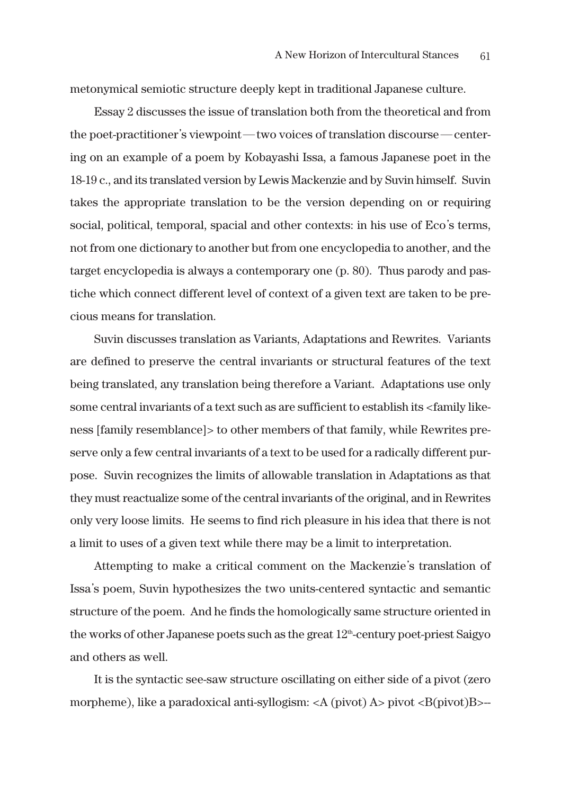metonymical semiotic structure deeply kept in traditional Japanese culture.

Essay 2 discusses the issue of translation both from the theoretical and from the poet-practitioner's viewpoint—two voices of translation discourse—centering on an example of a poem by Kobayashi Issa, a famous Japanese poet in the 18-19 c., and its translated version by Lewis Mackenzie and by Suvin himself. Suvin takes the appropriate translation to be the version depending on or requiring social, political, temporal, spacial and other contexts: in his use of Eco's terms, not from one dictionary to another but from one encyclopedia to another, and the target encyclopedia is always a contemporary one (p. 80). Thus parody and pastiche which connect different level of context of a given text are taken to be precious means for translation.

Suvin discusses translation as Variants, Adaptations and Rewrites. Variants are defined to preserve the central invariants or structural features of the text being translated, any translation being therefore a Variant. Adaptations use only some central invariants of a text such as are sufficient to establish its <family likeness [family resemblance]> to other members of that family, while Rewrites preserve only a few central invariants of a text to be used for a radically different purpose. Suvin recognizes the limits of allowable translation in Adaptations as that they must reactualize some of the central invariants of the original, and in Rewrites only very loose limits. He seems to find rich pleasure in his idea that there is not a limit to uses of a given text while there may be a limit to interpretation.

Attempting to make a critical comment on the Mackenzie's translation of Issa's poem, Suvin hypothesizes the two units-centered syntactic and semantic structure of the poem. And he finds the homologically same structure oriented in the works of other Japanese poets such as the great  $12<sup>th</sup>$ -century poet-priest Saigyo and others as well.

It is the syntactic see-saw structure oscillating on either side of a pivot (zero morpheme), like a paradoxical anti-syllogism:  $\langle A \rangle$  (pivot) A> pivot  $\langle B \rangle$  =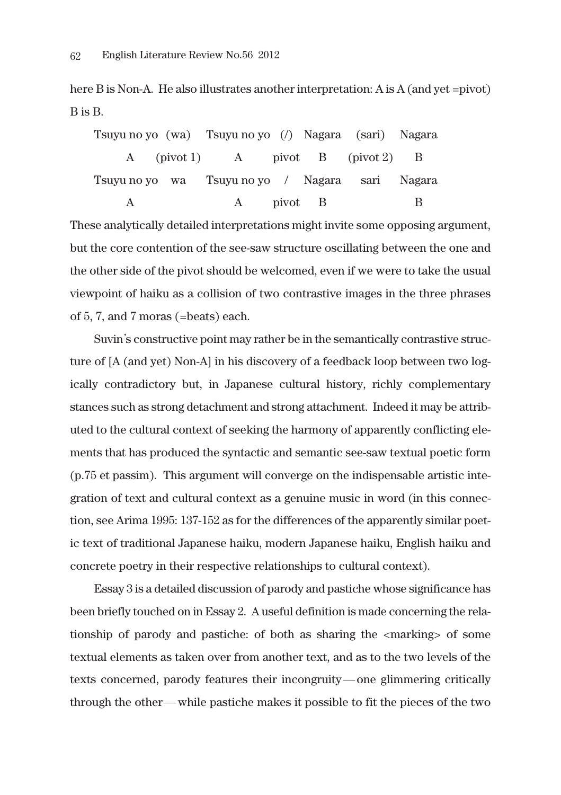here B is Non-A. He also illustrates another interpretation: A is A (and yet =pivot) B is B.

|  | Tsuyu no yo (wa) Tsuyu no yo (/) Nagara (sari) Nagara |  |   |
|--|-------------------------------------------------------|--|---|
|  | A (pivot 1) A pivot B (pivot 2) B                     |  |   |
|  | Tsuyu no yo wa Tsuyu no yo / Nagara sari Nagara       |  |   |
|  | A pivot B                                             |  | В |

These analytically detailed interpretations might invite some opposing argument, but the core contention of the see-saw structure oscillating between the one and the other side of the pivot should be welcomed, even if we were to take the usual viewpoint of haiku as a collision of two contrastive images in the three phrases of 5, 7, and 7 moras (=beats) each.

Suvin's constructive point may rather be in the semantically contrastive structure of [A (and yet) Non-A] in his discovery of a feedback loop between two logically contradictory but, in Japanese cultural history, richly complementary stances such as strong detachment and strong attachment. Indeed it may be attributed to the cultural context of seeking the harmony of apparently conflicting elements that has produced the syntactic and semantic see-saw textual poetic form (p.75 et passim). This argument will converge on the indispensable artistic integration of text and cultural context as a genuine music in word (in this connection, see Arima 1995: 137-152 as for the differences of the apparently similar poetic text of traditional Japanese haiku, modern Japanese haiku, English haiku and concrete poetry in their respective relationships to cultural context).

Essay 3 is a detailed discussion of parody and pastiche whose significance has been briefly touched on in Essay 2. A useful definition is made concerning the relationship of parody and pastiche: of both as sharing the <marking> of some textual elements as taken over from another text, and as to the two levels of the texts concerned, parody features their incongruity―one glimmering critically through the other―while pastiche makes it possible to fit the pieces of the two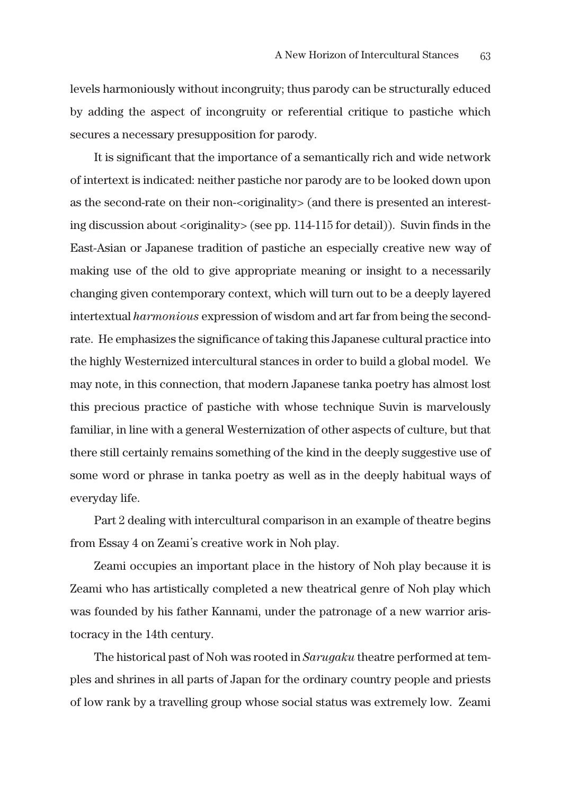levels harmoniously without incongruity; thus parody can be structurally educed by adding the aspect of incongruity or referential critique to pastiche which secures a necessary presupposition for parody.

It is significant that the importance of a semantically rich and wide network of intertext is indicated: neither pastiche nor parody are to be looked down upon as the second-rate on their non-<originality> (and there is presented an interesting discussion about <originality> (see pp. 114-115 for detail)). Suvin finds in the East-Asian or Japanese tradition of pastiche an especially creative new way of making use of the old to give appropriate meaning or insight to a necessarily changing given contemporary context, which will turn out to be a deeply layered intertextual *harmonious* expression of wisdom and art far from being the secondrate. He emphasizes the significance of taking this Japanese cultural practice into the highly Westernized intercultural stances in order to build a global model. We may note, in this connection, that modern Japanese tanka poetry has almost lost this precious practice of pastiche with whose technique Suvin is marvelously familiar, in line with a general Westernization of other aspects of culture, but that there still certainly remains something of the kind in the deeply suggestive use of some word or phrase in tanka poetry as well as in the deeply habitual ways of everyday life.

Part 2 dealing with intercultural comparison in an example of theatre begins from Essay 4 on Zeami's creative work in Noh play.

Zeami occupies an important place in the history of Noh play because it is Zeami who has artistically completed a new theatrical genre of Noh play which was founded by his father Kannami, under the patronage of a new warrior aristocracy in the 14th century.

The historical past of Noh was rooted in *Sarugaku* theatre performed at temples and shrines in all parts of Japan for the ordinary country people and priests of low rank by a travelling group whose social status was extremely low. Zeami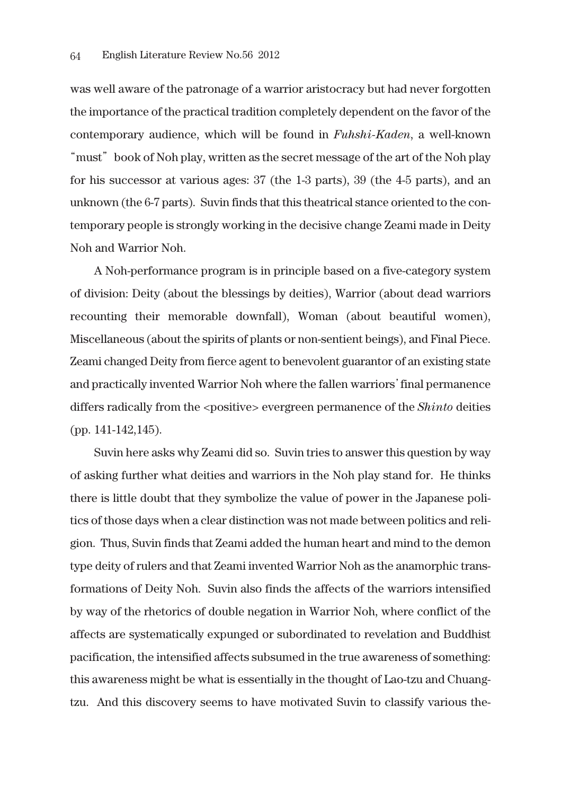was well aware of the patronage of a warrior aristocracy but had never forgotten the importance of the practical tradition completely dependent on the favor of the contemporary audience, which will be found in *Fuhshi-Kaden*, a well-known "must" book of Noh play, written as the secret message of the art of the Noh play for his successor at various ages: 37 (the 1-3 parts), 39 (the 4-5 parts), and an unknown (the 6-7 parts). Suvin finds that this theatrical stance oriented to the contemporary people is strongly working in the decisive change Zeami made in Deity Noh and Warrior Noh.

A Noh-performance program is in principle based on a five-category system of division: Deity (about the blessings by deities), Warrior (about dead warriors recounting their memorable downfall), Woman (about beautiful women), Miscellaneous (about the spirits of plants or non-sentient beings), and Final Piece. Zeami changed Deity from fierce agent to benevolent guarantor of an existing state and practically invented Warrior Noh where the fallen warriors'final permanence differs radically from the <positive> evergreen permanence of the *Shinto* deities (pp. 141-142,145).

Suvin here asks why Zeami did so. Suvin tries to answer this question by way of asking further what deities and warriors in the Noh play stand for. He thinks there is little doubt that they symbolize the value of power in the Japanese politics of those days when a clear distinction was not made between politics and religion. Thus, Suvin finds that Zeami added the human heart and mind to the demon type deity of rulers and that Zeami invented Warrior Noh as the anamorphic transformations of Deity Noh. Suvin also finds the affects of the warriors intensified by way of the rhetorics of double negation in Warrior Noh, where conflict of the affects are systematically expunged or subordinated to revelation and Buddhist pacification, the intensified affects subsumed in the true awareness of something: this awareness might be what is essentially in the thought of Lao-tzu and Chuangtzu. And this discovery seems to have motivated Suvin to classify various the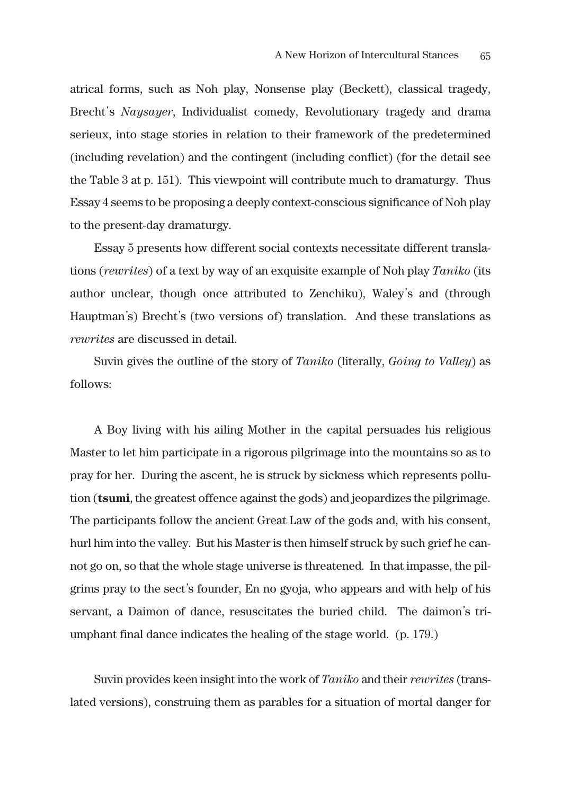atrical forms, such as Noh play, Nonsense play (Beckett), classical tragedy, Brecht's *Naysayer*, Individualist comedy, Revolutionary tragedy and drama serieux, into stage stories in relation to their framework of the predetermined (including revelation) and the contingent (including conflict) (for the detail see the Table 3 at p. 151). This viewpoint will contribute much to dramaturgy. Thus Essay 4 seems to be proposing a deeply context-conscious significance of Noh play to the present-day dramaturgy.

Essay 5 presents how different social contexts necessitate different translations (*rewrites*) of a text by way of an exquisite example of Noh play *Taniko* (its author unclear, though once attributed to Zenchiku), Waley's and (through Hauptman's) Brecht's (two versions of) translation. And these translations as *rewrites* are discussed in detail.

Suvin gives the outline of the story of *Taniko* (literally, *Going to Valley*) as follows:

A Boy living with his ailing Mother in the capital persuades his religious Master to let him participate in a rigorous pilgrimage into the mountains so as to pray for her. During the ascent, he is struck by sickness which represents pollution (**tsumi**, the greatest offence against the gods) and jeopardizes the pilgrimage. The participants follow the ancient Great Law of the gods and, with his consent, hurl him into the valley. But his Master is then himself struck by such grief he cannot go on, so that the whole stage universe is threatened. In that impasse, the pilgrims pray to the sect's founder, En no gyoja, who appears and with help of his servant, a Daimon of dance, resuscitates the buried child. The daimon's triumphant final dance indicates the healing of the stage world. (p. 179.)

Suvin provides keen insight into the work of *Taniko* and their *rewrites* (translated versions), construing them as parables for a situation of mortal danger for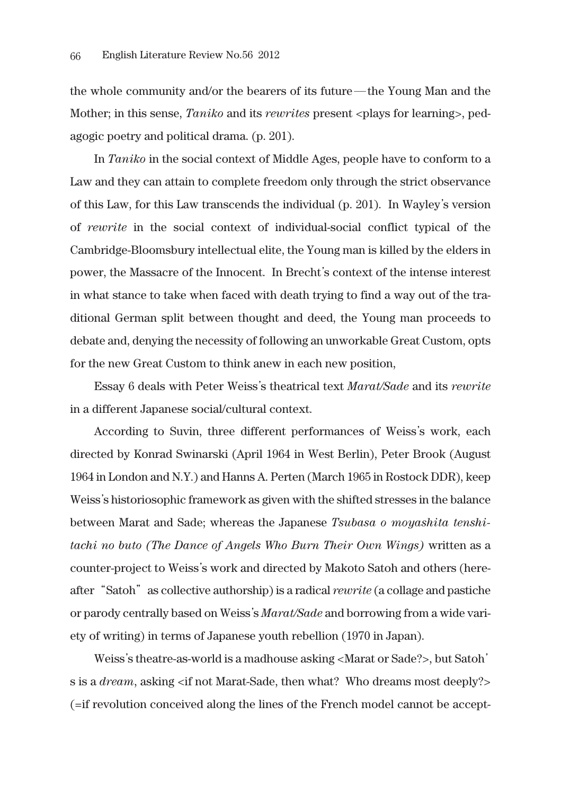the whole community and/or the bearers of its future―the Young Man and the Mother; in this sense, *Taniko* and its *rewrites* present <plays for learning>, pedagogic poetry and political drama. (p. 201).

In *Taniko* in the social context of Middle Ages, people have to conform to a Law and they can attain to complete freedom only through the strict observance of this Law, for this Law transcends the individual (p. 201). In Wayley's version of *rewrite* in the social context of individual-social conflict typical of the Cambridge-Bloomsbury intellectual elite, the Young man is killed by the elders in power, the Massacre of the Innocent. In Brecht's context of the intense interest in what stance to take when faced with death trying to find a way out of the traditional German split between thought and deed, the Young man proceeds to debate and, denying the necessity of following an unworkable Great Custom, opts for the new Great Custom to think anew in each new position,

Essay 6 deals with Peter Weiss's theatrical text *Marat/Sade* and its *rewrite* in a different Japanese social/cultural context.

According to Suvin, three different performances of Weiss's work, each directed by Konrad Swinarski (April 1964 in West Berlin), Peter Brook (August 1964 in London and N.Y.) and Hanns A. Perten (March 1965 in Rostock DDR), keep Weiss's historiosophic framework as given with the shifted stresses in the balance between Marat and Sade; whereas the Japanese *Tsubasa o moyashita tenshitachi no buto (The Dance of Angels Who Burn Their Own Wings)* written as a counter-project to Weiss's work and directed by Makoto Satoh and others (hereafter"Satoh"as collective authorship) is a radical *rewrite* (a collage and pastiche or parody centrally based on Weiss's *Marat/Sade* and borrowing from a wide variety of writing) in terms of Japanese youth rebellion (1970 in Japan).

Weiss's theatre-as-world is a madhouse asking <Marat or Sade?>, but Satoh' s is a *dream*, asking <if not Marat-Sade, then what? Who dreams most deeply?> (=if revolution conceived along the lines of the French model cannot be accept-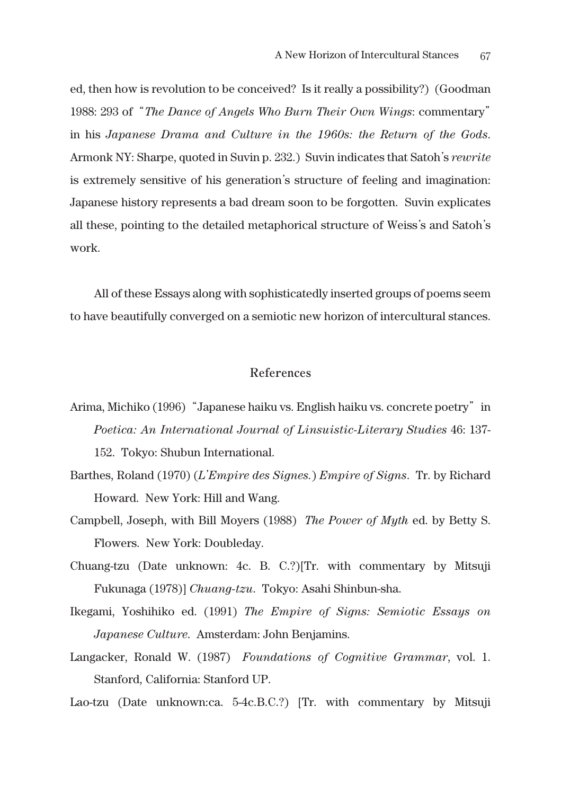ed, then how is revolution to be conceived? Is it really a possibility?) (Goodman 1988: 293 of"*The Dance of Angels Who Burn Their Own Wings*: commentary" in his *Japanese Drama and Culture in the 1960s: the Return of the Gods*. Armonk NY: Sharpe, quoted in Suvin p. 232.) Suvin indicates that Satoh's *rewrite* is extremely sensitive of his generation's structure of feeling and imagination: Japanese history represents a bad dream soon to be forgotten. Suvin explicates all these, pointing to the detailed metaphorical structure of Weiss's and Satoh's work.

All of these Essays along with sophisticatedly inserted groups of poems seem to have beautifully converged on a semiotic new horizon of intercultural stances.

## **References**

- Arima, Michiko (1996) "Japanese haiku vs. English haiku vs. concrete poetry" in *Poetica: An International Journal of Linsuistic-Literary Studies* 46: 137- 152. Tokyo: Shubun International.
- Barthes, Roland (1970) (*L*'*Empire des Signes.*) *Empire of Signs*. Tr. by Richard Howard. New York: Hill and Wang.
- Campbell, Joseph, with Bill Moyers (1988) *The Power of Myth* ed. by Betty S. Flowers. New York: Doubleday.
- Chuang-tzu (Date unknown: 4c. B. C.?)[Tr. with commentary by Mitsuji Fukunaga (1978)] *Chuang-tzu*. Tokyo: Asahi Shinbun-sha.
- Ikegami, Yoshihiko ed. (1991) *The Empire of Signs: Semiotic Essays on Japanese Culture*. Amsterdam: John Benjamins.
- Langacker, Ronald W. (1987) *Foundations of Cognitive Grammar*, vol. 1. Stanford, California: Stanford UP.

Lao-tzu (Date unknown:ca. 5-4c.B.C.?) [Tr. with commentary by Mitsuji